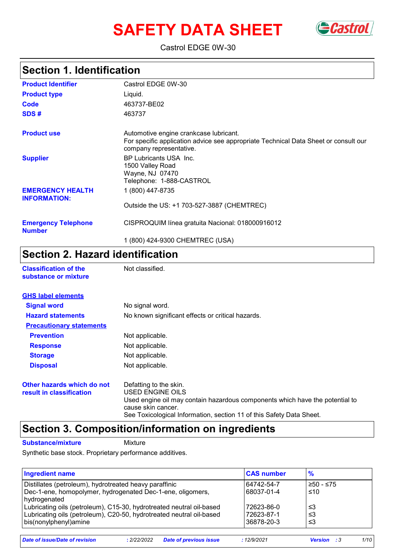# **SAFETY DATA SHEET** Gastrol



Castrol EDGE 0W-30

## **Section 1. Identification**

| <b>Product Identifier</b>                      | Castrol EDGE 0W-30                                                                                                                                       |
|------------------------------------------------|----------------------------------------------------------------------------------------------------------------------------------------------------------|
| <b>Product type</b>                            | Liquid.                                                                                                                                                  |
| Code                                           | 463737-BE02                                                                                                                                              |
| SDS#                                           | 463737                                                                                                                                                   |
| <b>Product use</b>                             | Automotive engine crankcase lubricant.<br>For specific application advice see appropriate Technical Data Sheet or consult our<br>company representative. |
| <b>Supplier</b>                                | BP Lubricants USA Inc.<br>1500 Valley Road<br>Wayne, NJ 07470<br>Telephone: 1-888-CASTROL                                                                |
| <b>EMERGENCY HEALTH</b><br><b>INFORMATION:</b> | 1 (800) 447-8735                                                                                                                                         |
|                                                | Outside the US: +1 703-527-3887 (CHEMTREC)                                                                                                               |
| <b>Emergency Telephone</b><br><b>Number</b>    | CISPROQUIM Iínea gratuita Nacional: 018000916012                                                                                                         |
|                                                | 1 (800) 424-9300 CHEMTREC (USA)                                                                                                                          |

## **Section 2. Hazard identification**

| <b>Classification of the</b><br>substance or mixture | Not classified. |
|------------------------------------------------------|-----------------|
| <b>GHS label elements</b>                            |                 |
| <b>Signal word</b>                                   | No signal word. |
|                                                      |                 |

| <b>Hazard statements</b>                               | No known significant effects or critical hazards.                                                                                                                                                                        |  |  |
|--------------------------------------------------------|--------------------------------------------------------------------------------------------------------------------------------------------------------------------------------------------------------------------------|--|--|
| <b>Precautionary statements</b>                        |                                                                                                                                                                                                                          |  |  |
| <b>Prevention</b>                                      | Not applicable.                                                                                                                                                                                                          |  |  |
| <b>Response</b>                                        | Not applicable.                                                                                                                                                                                                          |  |  |
| <b>Storage</b>                                         | Not applicable.                                                                                                                                                                                                          |  |  |
| <b>Disposal</b>                                        | Not applicable.                                                                                                                                                                                                          |  |  |
| Other hazards which do not<br>result in classification | Defatting to the skin.<br>USED ENGINE OILS<br>Used engine oil may contain hazardous components which have the potential to<br>cause skin cancer.<br>See Toxicological Information, section 11 of this Safety Data Sheet. |  |  |

## **Section 3. Composition/information on ingredients**

**Substance/mixture Mixture** 

Synthetic base stock. Proprietary performance additives.

| <b>Ingredient name</b>                                               | <b>CAS number</b> | $\frac{9}{6}$ |
|----------------------------------------------------------------------|-------------------|---------------|
| Distillates (petroleum), hydrotreated heavy paraffinic               | 64742-54-7        | ≥50 - ≤75     |
| Dec-1-ene, homopolymer, hydrogenated Dec-1-ene, oligomers,           | 68037-01-4        | ≤10           |
| hydrogenated                                                         |                   |               |
| Lubricating oils (petroleum), C15-30, hydrotreated neutral oil-based | 72623-86-0        | צ≥            |
| Lubricating oils (petroleum), C20-50, hydrotreated neutral oil-based | 72623-87-1        | צ≥            |
| bis(nonylphenyl)amine                                                | 36878-20-3        | ≤3            |
|                                                                      |                   |               |

*Date of issue/Date of revision* **:** *2/22/2022 Date of previous issue : 12/9/2021 Version : 3 1/10*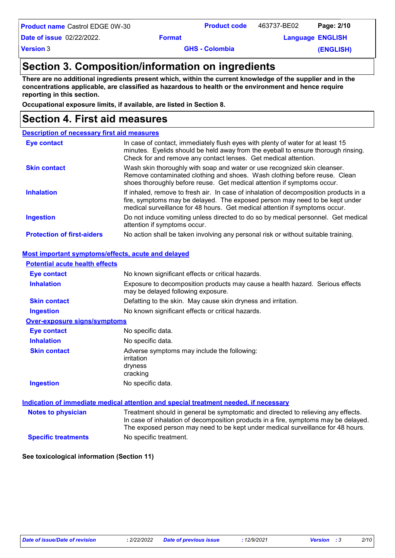**Product name** Castrol EDGE 0W-30 **Product code** 463737-BE02 **Page: 2/10** 

**Date of issue** 02/22/2022.

**Product code** 463737-BE02

**Example 2 Example 2 Englisher Language** ENGLISH

**Version** 3

**GHS - Colombia** 

**(ENGLISH)**

### **Section 3. Composition/information on ingredients**

**There are no additional ingredients present which, within the current knowledge of the supplier and in the concentrations applicable, are classified as hazardous to health or the environment and hence require reporting in this section.**

**Occupational exposure limits, if available, are listed in Section 8.**

## **Section 4. First aid measures**

| <b>Description of necessary first aid measures</b> |                                                                                                                                                                                                                                                     |
|----------------------------------------------------|-----------------------------------------------------------------------------------------------------------------------------------------------------------------------------------------------------------------------------------------------------|
| <b>Eye contact</b>                                 | In case of contact, immediately flush eyes with plenty of water for at least 15<br>minutes. Eyelids should be held away from the eyeball to ensure thorough rinsing.<br>Check for and remove any contact lenses. Get medical attention.             |
| <b>Skin contact</b>                                | Wash skin thoroughly with soap and water or use recognized skin cleanser.<br>Remove contaminated clothing and shoes. Wash clothing before reuse. Clean<br>shoes thoroughly before reuse. Get medical attention if symptoms occur.                   |
| <b>Inhalation</b>                                  | If inhaled, remove to fresh air. In case of inhalation of decomposition products in a<br>fire, symptoms may be delayed. The exposed person may need to be kept under<br>medical surveillance for 48 hours. Get medical attention if symptoms occur. |
| <b>Ingestion</b>                                   | Do not induce vomiting unless directed to do so by medical personnel. Get medical<br>attention if symptoms occur.                                                                                                                                   |
| <b>Protection of first-aiders</b>                  | No action shall be taken involving any personal risk or without suitable training.                                                                                                                                                                  |

#### **Most important symptoms/effects, acute and delayed**

| <b>Potential acute health effects</b> |                                                                                                                                                                                                                                                             |
|---------------------------------------|-------------------------------------------------------------------------------------------------------------------------------------------------------------------------------------------------------------------------------------------------------------|
| <b>Eye contact</b>                    | No known significant effects or critical hazards.                                                                                                                                                                                                           |
| <b>Inhalation</b>                     | Exposure to decomposition products may cause a health hazard. Serious effects<br>may be delayed following exposure.                                                                                                                                         |
| <b>Skin contact</b>                   | Defatting to the skin. May cause skin dryness and irritation.                                                                                                                                                                                               |
| <b>Ingestion</b>                      | No known significant effects or critical hazards.                                                                                                                                                                                                           |
| Over-exposure signs/symptoms          |                                                                                                                                                                                                                                                             |
| Eye contact                           | No specific data.                                                                                                                                                                                                                                           |
| <b>Inhalation</b>                     | No specific data.                                                                                                                                                                                                                                           |
| <b>Skin contact</b>                   | Adverse symptoms may include the following:<br>irritation<br>dryness<br>cracking                                                                                                                                                                            |
| <b>Ingestion</b>                      | No specific data.                                                                                                                                                                                                                                           |
|                                       | Indication of immediate medical attention and special treatment needed, if necessary                                                                                                                                                                        |
| <b>Notes to physician</b>             | Treatment should in general be symptomatic and directed to relieving any effects.<br>In case of inhalation of decomposition products in a fire, symptoms may be delayed.<br>The exposed person may need to be kept under medical surveillance for 48 hours. |
| <b>Specific treatments</b>            | No specific treatment.                                                                                                                                                                                                                                      |

**See toxicological information (Section 11)**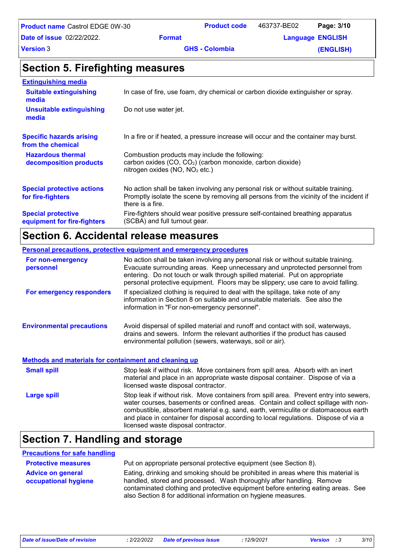| <b>Product name Castrol EDGE 0W-30</b> |               | <b>Product code</b>   | 463737-BE02             | Page: 3/10 |
|----------------------------------------|---------------|-----------------------|-------------------------|------------|
| <b>Date of issue</b> 02/22/2022.       | <b>Format</b> |                       | <b>Language ENGLISH</b> |            |
| <b>Version 3</b>                       |               | <b>GHS - Colombia</b> |                         | (ENGLISH)  |

### **Section 5. Firefighting measures**

| <b>Extinguishing media</b>                               |                                                                                                                                                                                                   |
|----------------------------------------------------------|---------------------------------------------------------------------------------------------------------------------------------------------------------------------------------------------------|
| <b>Suitable extinguishing</b><br>media                   | In case of fire, use foam, dry chemical or carbon dioxide extinguisher or spray.                                                                                                                  |
| <b>Unsuitable extinguishing</b><br>media                 | Do not use water jet.                                                                                                                                                                             |
| <b>Specific hazards arising</b><br>from the chemical     | In a fire or if heated, a pressure increase will occur and the container may burst.                                                                                                               |
| <b>Hazardous thermal</b><br>decomposition products       | Combustion products may include the following:<br>carbon oxides (CO, CO <sub>2</sub> ) (carbon monoxide, carbon dioxide)<br>nitrogen oxides (NO, NO <sub>2</sub> etc.)                            |
| <b>Special protective actions</b><br>for fire-fighters   | No action shall be taken involving any personal risk or without suitable training.<br>Promptly isolate the scene by removing all persons from the vicinity of the incident if<br>there is a fire. |
| <b>Special protective</b><br>equipment for fire-fighters | Fire-fighters should wear positive pressure self-contained breathing apparatus<br>(SCBA) and full turnout gear.                                                                                   |

### **Section 6. Accidental release measures**

#### **Environmental precautions Personal precautions, protective equipment and emergency procedures** Stop leak if without risk. Move containers from spill area. Prevent entry into sewers, water courses, basements or confined areas. Contain and collect spillage with noncombustible, absorbent material e.g. sand, earth, vermiculite or diatomaceous earth and place in container for disposal according to local regulations. Dispose of via a licensed waste disposal contractor. No action shall be taken involving any personal risk or without suitable training. Evacuate surrounding areas. Keep unnecessary and unprotected personnel from entering. Do not touch or walk through spilled material. Put on appropriate personal protective equipment. Floors may be slippery; use care to avoid falling. Avoid dispersal of spilled material and runoff and contact with soil, waterways, drains and sewers. Inform the relevant authorities if the product has caused environmental pollution (sewers, waterways, soil or air). **Large spill** Stop leak if without risk. Move containers from spill area. Absorb with an inert material and place in an appropriate waste disposal container. Dispose of via a licensed waste disposal contractor. **Small spill Methods and materials for containment and cleaning up For non-emergency personnel For emergency responders** If specialized clothing is required to deal with the spillage, take note of any information in Section 8 on suitable and unsuitable materials. See also the information in "For non-emergency personnel".

## **Section 7. Handling and storage**

| <b>Precautions for safe handling</b>             |                                                                                                                                                                                                                                                                                                                  |
|--------------------------------------------------|------------------------------------------------------------------------------------------------------------------------------------------------------------------------------------------------------------------------------------------------------------------------------------------------------------------|
| <b>Protective measures</b>                       | Put on appropriate personal protective equipment (see Section 8).                                                                                                                                                                                                                                                |
| <b>Advice on general</b><br>occupational hygiene | Eating, drinking and smoking should be prohibited in areas where this material is<br>handled, stored and processed. Wash thoroughly after handling. Remove<br>contaminated clothing and protective equipment before entering eating areas. See<br>also Section 8 for additional information on hygiene measures. |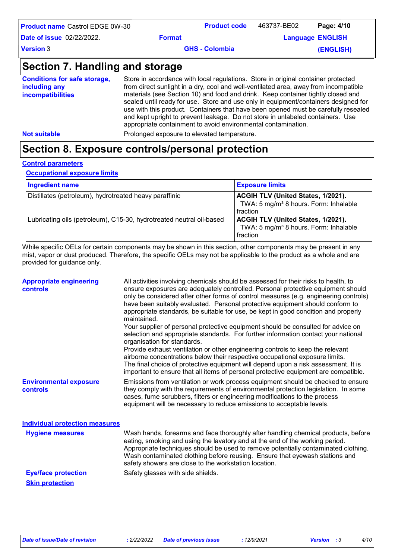| <b>Product name</b> Castrol EDGE 0W-30 |               | <b>Product code</b>   | 463737-BE02 | Page: 4/10              |
|----------------------------------------|---------------|-----------------------|-------------|-------------------------|
| Date of issue 02/22/2022.              | <b>Format</b> |                       |             | <b>Language ENGLISH</b> |
| Version 3                              |               | <b>GHS - Colombia</b> |             | (ENGLISH)               |
|                                        |               |                       |             |                         |

## **Section 7. Handling and storage**

| <b>Conditions for safe storage,</b><br>including any<br><i>incompatibilities</i> | Store in accordance with local regulations. Store in original container protected<br>from direct sunlight in a dry, cool and well-ventilated area, away from incompatible<br>materials (see Section 10) and food and drink. Keep container tightly closed and<br>sealed until ready for use. Store and use only in equipment/containers designed for<br>use with this product. Containers that have been opened must be carefully resealed<br>and kept upright to prevent leakage. Do not store in unlabeled containers. Use |
|----------------------------------------------------------------------------------|------------------------------------------------------------------------------------------------------------------------------------------------------------------------------------------------------------------------------------------------------------------------------------------------------------------------------------------------------------------------------------------------------------------------------------------------------------------------------------------------------------------------------|
|                                                                                  | appropriate containment to avoid environmental contamination.                                                                                                                                                                                                                                                                                                                                                                                                                                                                |
| <b>Not suitable</b>                                                              | Prolonged exposure to elevated temperature.                                                                                                                                                                                                                                                                                                                                                                                                                                                                                  |

## **Section 8. Exposure controls/personal protection**

#### **Control parameters**

**Occupational exposure limits**

| <b>Ingredient name</b>                                               | <b>Exposure limits</b>                                                                                     |
|----------------------------------------------------------------------|------------------------------------------------------------------------------------------------------------|
| Distillates (petroleum), hydrotreated heavy paraffinic               | ACGIH TLV (United States, 1/2021).<br>TWA: 5 mg/m <sup>3</sup> 8 hours. Form: Inhalable<br><b>fraction</b> |
| Lubricating oils (petroleum), C15-30, hydrotreated neutral oil-based | <b>ACGIH TLV (United States, 1/2021).</b><br>TWA: 5 mg/m <sup>3</sup> 8 hours. Form: Inhalable<br>fraction |

While specific OELs for certain components may be shown in this section, other components may be present in any mist, vapor or dust produced. Therefore, the specific OELs may not be applicable to the product as a whole and are provided for guidance only.

| <b>Appropriate engineering</b><br>controls | All activities involving chemicals should be assessed for their risks to health, to<br>ensure exposures are adequately controlled. Personal protective equipment should<br>only be considered after other forms of control measures (e.g. engineering controls)<br>have been suitably evaluated. Personal protective equipment should conform to<br>appropriate standards, be suitable for use, be kept in good condition and properly<br>maintained.<br>Your supplier of personal protective equipment should be consulted for advice on<br>selection and appropriate standards. For further information contact your national<br>organisation for standards.<br>Provide exhaust ventilation or other engineering controls to keep the relevant<br>airborne concentrations below their respective occupational exposure limits.<br>The final choice of protective equipment will depend upon a risk assessment. It is<br>important to ensure that all items of personal protective equipment are compatible. |
|--------------------------------------------|---------------------------------------------------------------------------------------------------------------------------------------------------------------------------------------------------------------------------------------------------------------------------------------------------------------------------------------------------------------------------------------------------------------------------------------------------------------------------------------------------------------------------------------------------------------------------------------------------------------------------------------------------------------------------------------------------------------------------------------------------------------------------------------------------------------------------------------------------------------------------------------------------------------------------------------------------------------------------------------------------------------|
| <b>Environmental exposure</b><br>controls  | Emissions from ventilation or work process equipment should be checked to ensure<br>they comply with the requirements of environmental protection legislation. In some<br>cases, fume scrubbers, filters or engineering modifications to the process<br>equipment will be necessary to reduce emissions to acceptable levels.                                                                                                                                                                                                                                                                                                                                                                                                                                                                                                                                                                                                                                                                                 |
| <b>Individual protection measures</b>      |                                                                                                                                                                                                                                                                                                                                                                                                                                                                                                                                                                                                                                                                                                                                                                                                                                                                                                                                                                                                               |
| <b>Hygiene measures</b>                    | Wash hands, forearms and face thoroughly after handling chemical products, before<br>eating, smoking and using the lavatory and at the end of the working period.<br>Appropriate techniques should be used to remove potentially contaminated clothing.<br>Wash contaminated clothing before reusing. Ensure that eyewash stations and<br>safety showers are close to the workstation location.                                                                                                                                                                                                                                                                                                                                                                                                                                                                                                                                                                                                               |
| <b>Eye/face protection</b>                 | Safety glasses with side shields.                                                                                                                                                                                                                                                                                                                                                                                                                                                                                                                                                                                                                                                                                                                                                                                                                                                                                                                                                                             |
| <b>Skin protection</b>                     |                                                                                                                                                                                                                                                                                                                                                                                                                                                                                                                                                                                                                                                                                                                                                                                                                                                                                                                                                                                                               |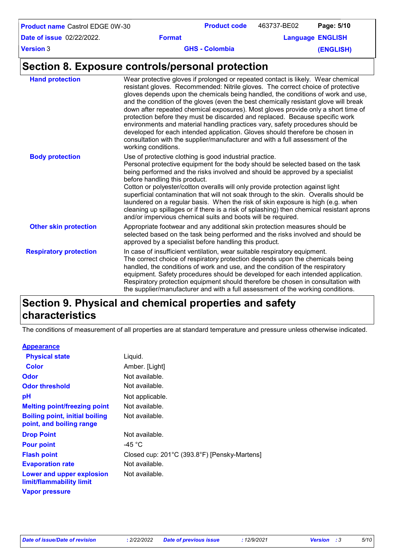| <b>Product name Castrol EDGE 0W-30</b>           |                                                                                                                                                                                                                                                                                                                                                                                                                                                                                                                                                                                                                                                                                                                                                                                                 | <b>Product code</b>   | 463737-BE02 | Page: 5/10              |
|--------------------------------------------------|-------------------------------------------------------------------------------------------------------------------------------------------------------------------------------------------------------------------------------------------------------------------------------------------------------------------------------------------------------------------------------------------------------------------------------------------------------------------------------------------------------------------------------------------------------------------------------------------------------------------------------------------------------------------------------------------------------------------------------------------------------------------------------------------------|-----------------------|-------------|-------------------------|
| <b>Date of issue 02/22/2022.</b>                 | <b>Format</b>                                                                                                                                                                                                                                                                                                                                                                                                                                                                                                                                                                                                                                                                                                                                                                                   |                       |             | <b>Language ENGLISH</b> |
| <b>Version 3</b>                                 |                                                                                                                                                                                                                                                                                                                                                                                                                                                                                                                                                                                                                                                                                                                                                                                                 | <b>GHS - Colombia</b> |             | (ENGLISH)               |
| Section 8. Exposure controls/personal protection |                                                                                                                                                                                                                                                                                                                                                                                                                                                                                                                                                                                                                                                                                                                                                                                                 |                       |             |                         |
| <b>Hand protection</b>                           | Wear protective gloves if prolonged or repeated contact is likely. Wear chemical<br>resistant gloves. Recommended: Nitrile gloves. The correct choice of protective<br>gloves depends upon the chemicals being handled, the conditions of work and use,<br>and the condition of the gloves (even the best chemically resistant glove will break<br>down after repeated chemical exposures). Most gloves provide only a short time of<br>protection before they must be discarded and replaced. Because specific work<br>environments and material handling practices vary, safety procedures should be<br>developed for each intended application. Gloves should therefore be chosen in<br>consultation with the supplier/manufacturer and with a full assessment of the<br>working conditions. |                       |             |                         |
| <b>Body protection</b>                           | Use of protective clothing is good industrial practice.<br>Personal protective equipment for the body should be selected based on the task<br>being performed and the risks involved and should be approved by a specialist<br>before handling this product.<br>Cotton or polyester/cotton overalls will only provide protection against light<br>superficial contamination that will not soak through to the skin. Overalls should be<br>laundered on a regular basis. When the risk of skin exposure is high (e.g. when                                                                                                                                                                                                                                                                       |                       |             |                         |

## **Section 9. Physical and chemical properties and safety characteristics**

The conditions of measurement of all properties are at standard temperature and pressure unless otherwise indicated.

In case of insufficient ventilation, wear suitable respiratory equipment.

and/or impervious chemical suits and boots will be required.

approved by a specialist before handling this product.

**Other skin protection** Appropriate footwear and any additional skin protection measures should be

The correct choice of respiratory protection depends upon the chemicals being handled, the conditions of work and use, and the condition of the respiratory equipment. Safety procedures should be developed for each intended application. Respiratory protection equipment should therefore be chosen in consultation with the supplier/manufacturer and with a full assessment of the working conditions.

selected based on the task being performed and the risks involved and should be

cleaning up spillages or if there is a risk of splashing) then chemical resistant aprons

#### **Appearance**

**Respiratory protection**

| <b>Physical state</b>                                             | Liquid.                                      |
|-------------------------------------------------------------------|----------------------------------------------|
| <b>Color</b>                                                      | Amber. [Light]                               |
| <b>Odor</b>                                                       | Not available.                               |
| <b>Odor threshold</b>                                             | Not available.                               |
| рH                                                                | Not applicable.                              |
| <b>Melting point/freezing point</b>                               | Not available.                               |
| <b>Boiling point, initial boiling</b><br>point, and boiling range | Not available.                               |
| <b>Drop Point</b>                                                 | Not available.                               |
| <b>Pour point</b>                                                 | -45 °C                                       |
| <b>Flash point</b>                                                | Closed cup: 201°C (393.8°F) [Pensky-Martens] |
| <b>Evaporation rate</b>                                           | Not available.                               |
| Lower and upper explosion<br>limit/flammability limit             | Not available.                               |
| <b>Vapor pressure</b>                                             |                                              |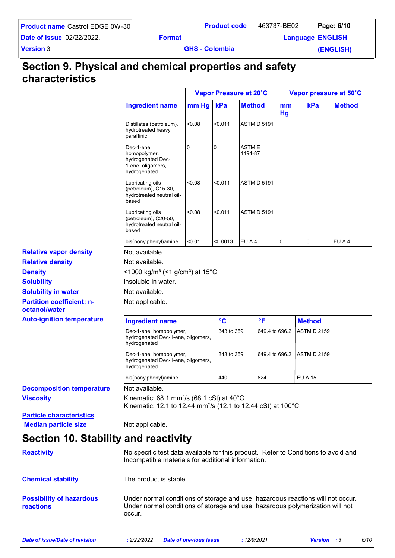| <b>Product code</b> | 463737-BE02 | Page: 6/10 |  |
|---------------------|-------------|------------|--|
|                     |             |            |  |

**Date of issue** 02/22/2022.

463737-BE02

**Example 2 Example 2 Englisher Language** ENGLISH

**Version** 3

**GHS - Colombia** 

**(ENGLISH)**

## **Section 9. Physical and chemical properties and safety characteristics**

|                                                                |                                                                                                                                              |        | Vapor Pressure at 20°C |                          |                | Vapor pressure at 50°C |               |
|----------------------------------------------------------------|----------------------------------------------------------------------------------------------------------------------------------------------|--------|------------------------|--------------------------|----------------|------------------------|---------------|
|                                                                | <b>Ingredient name</b>                                                                                                                       | mm Hg  | kPa                    | <b>Method</b>            | mm<br>Hg       | kPa                    | <b>Method</b> |
|                                                                | Distillates (petroleum),<br>hydrotreated heavy<br>paraffinic                                                                                 | 0.08   | < 0.011                | <b>ASTM D 5191</b>       |                |                        |               |
|                                                                | Dec-1-ene,<br>homopolymer,<br>hydrogenated Dec-<br>1-ene, oligomers,<br>hydrogenated                                                         | 0      | 0                      | <b>ASTM E</b><br>1194-87 |                |                        |               |
|                                                                | Lubricating oils<br>(petroleum), C15-30,<br>hydrotreated neutral oil-<br>based                                                               | 0.08   | <0.011                 | <b>ASTM D 5191</b>       |                |                        |               |
|                                                                | Lubricating oils<br>(petroleum), C20-50,<br>hydrotreated neutral oil-<br>based                                                               | <0.08  | <0.011                 | <b>ASTM D 5191</b>       |                |                        |               |
|                                                                | bis(nonylphenyl)amine                                                                                                                        | < 0.01 | <0.0013                | EU A.4                   | 0              | 0                      | EU A.4        |
| <b>Relative vapor density</b>                                  | Not available.                                                                                                                               |        |                        |                          |                |                        |               |
| <b>Relative density</b>                                        | Not available.                                                                                                                               |        |                        |                          |                |                        |               |
| <b>Density</b>                                                 | <1000 kg/m <sup>3</sup> (<1 g/cm <sup>3</sup> ) at 15°C                                                                                      |        |                        |                          |                |                        |               |
| <b>Solubility</b>                                              | insoluble in water.                                                                                                                          |        |                        |                          |                |                        |               |
| <b>Solubility in water</b>                                     | Not available.                                                                                                                               |        |                        |                          |                |                        |               |
| <b>Partition coefficient: n-</b><br>octanol/water              | Not applicable.                                                                                                                              |        |                        |                          |                |                        |               |
| <b>Auto-ignition temperature</b>                               | <b>Ingredient name</b>                                                                                                                       |        | $\rm ^{\circ}C$        | $\mathsf{P}$             |                | <b>Method</b>          |               |
|                                                                | Dec-1-ene, homopolymer,<br>hydrogenated Dec-1-ene, oligomers,<br>hydrogenated                                                                |        | 343 to 369             |                          | 649.4 to 696.2 | <b>ASTM D 2159</b>     |               |
|                                                                | Dec-1-ene, homopolymer,<br>hydrogenated Dec-1-ene, oligomers,<br>hydrogenated                                                                |        | 343 to 369             |                          | 649.4 to 696.2 | <b>ASTM D 2159</b>     |               |
|                                                                | bis(nonylphenyl)amine                                                                                                                        |        | 440                    | 824                      |                | <b>EU A.15</b>         |               |
| <b>Decomposition temperature</b>                               | Not available.                                                                                                                               |        |                        |                          |                |                        |               |
| <b>Viscosity</b>                                               | Kinematic: 68.1 mm <sup>2</sup> /s (68.1 cSt) at 40 $^{\circ}$ C<br>Kinematic: 12.1 to 12.44 mm <sup>2</sup> /s (12.1 to 12.44 cSt) at 100°C |        |                        |                          |                |                        |               |
| <b>Particle characteristics</b><br><b>Median particle size</b> | Not applicable.                                                                                                                              |        |                        |                          |                |                        |               |
| <b>Section 10. Stability and reactivity</b>                    |                                                                                                                                              |        |                        |                          |                |                        |               |
| <b>Reactivity</b>                                              | No specific test data available for this product. Refer to Conditions to avoid and<br>Incompatible materials for additional information.     |        |                        |                          |                |                        |               |

**Chemical stability** The product is stable.

**Possibility of hazardous reactions** Under normal conditions of storage and use, hazardous reactions will not occur. Under normal conditions of storage and use, hazardous polymerization will not occur.

*Date of issue/Date of revision* **:** *2/22/2022 Date of previous issue : 12/9/2021 Version : 3 6/10*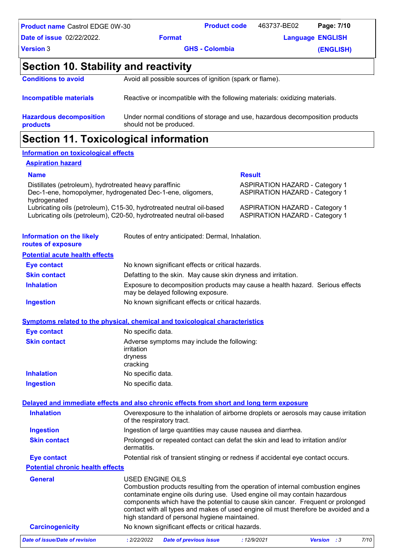| <b>Product name Castrol EDGE 0W-30</b> |                                                                             | <b>Product code</b> | 463737-BE02 | Page: 7/10              |
|----------------------------------------|-----------------------------------------------------------------------------|---------------------|-------------|-------------------------|
| <b>Date of issue 02/22/2022.</b>       | <b>Format</b>                                                               |                     |             | <b>Language ENGLISH</b> |
| Version 3                              | <b>GHS - Colombia</b>                                                       |                     | (ENGLISH)   |                         |
| Section 10. Stability and reactivity   |                                                                             |                     |             |                         |
| <b>Conditions to avoid</b>             | Avoid all possible sources of ignition (spark or flame).                    |                     |             |                         |
| <b>Incompatible materials</b>          | Reactive or incompatible with the following materials: oxidizing materials. |                     |             |                         |

| <b>Hazardous decomposition</b> | Under normal conditions of storage and use, hazardous decomposition products |
|--------------------------------|------------------------------------------------------------------------------|
| <b>products</b>                | should not be produced.                                                      |
|                                |                                                                              |

### **Section 11. Toxicological information**

#### **Information on toxicological effects**

#### **Aspiration hazard**

#### **Name Result** Distillates (petroleum), hydrotreated heavy paraffinic **ASPIRATION HAZARD** - Category 1 Dec-1-ene, homopolymer, hydrogenated Dec-1-ene, oligomers, hydrogenated ASPIRATION HAZARD - Category 1 Lubricating oils (petroleum), C15-30, hydrotreated neutral oil-based ASPIRATION HAZARD - Category 1 Lubricating oils (petroleum), C20-50, hydrotreated neutral oil-based ASPIRATION HAZARD - Category 1

| <b>Information on the likely</b><br>routes of exposure | Routes of entry anticipated: Dermal, Inhalation.              |
|--------------------------------------------------------|---------------------------------------------------------------|
| <b>Potential acute health effects</b>                  |                                                               |
| <b>Eye contact</b>                                     | No known significant effects or critical hazards.             |
| <b>Skin contact</b>                                    | Defatting to the skin. May cause skin dryness and irritation. |

| <b>Skin contact</b> | Defatting to the skin. May cause skin dryness and irritation.                                                       |
|---------------------|---------------------------------------------------------------------------------------------------------------------|
| <b>Inhalation</b>   | Exposure to decomposition products may cause a health hazard. Serious effects<br>may be delayed following exposure. |
| Ingestion           | No known significant effects or critical hazards.                                                                   |

#### **Symptoms related to the physical, chemical and toxicological characteristics**

| Eye contact         | No specific data.                                                                |
|---------------------|----------------------------------------------------------------------------------|
| <b>Skin contact</b> | Adverse symptoms may include the following:<br>irritation<br>dryness<br>cracking |
| <b>Inhalation</b>   | No specific data.                                                                |
| <b>Ingestion</b>    | No specific data.                                                                |

#### USED ENGINE OILS Combustion products resulting from the operation of internal combustion engines **General Potential chronic health effects Delayed and immediate effects and also chronic effects from short and long term exposure Inhalation Ingestion Skin contact Eye contact** Overexposure to the inhalation of airborne droplets or aerosols may cause irritation of the respiratory tract. Ingestion of large quantities may cause nausea and diarrhea. Prolonged or repeated contact can defat the skin and lead to irritation and/or dermatitis. Potential risk of transient stinging or redness if accidental eye contact occurs.

|                 | contaminate engine oils during use. Used engine oil may contain hazardous           |
|-----------------|-------------------------------------------------------------------------------------|
|                 | components which have the potential to cause skin cancer. Frequent or prolonged     |
|                 | contact with all types and makes of used engine oil must therefore be avoided and a |
|                 | high standard of personal hygiene maintained.                                       |
| Carcinogenicity | No known significant effects or critical hazards                                    |

| Date of issue/Date of revision |  | : 2/22/2022 Date of previous issue | : 12/9/2021 | <b>Version</b> : 3 |  | 7/10 |  |
|--------------------------------|--|------------------------------------|-------------|--------------------|--|------|--|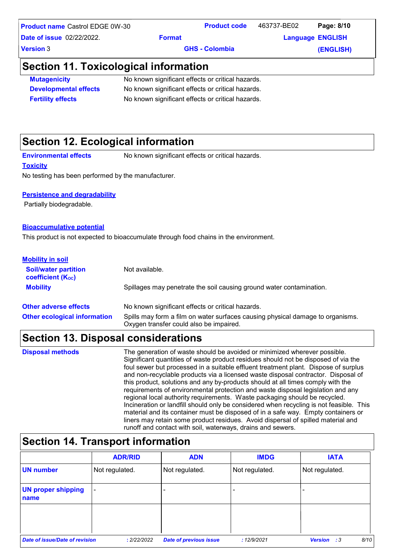| Product name Castrol EDGE 0W-30 |               | <b>Product code</b>   | 463737-BE02 | Page: 8/10              |
|---------------------------------|---------------|-----------------------|-------------|-------------------------|
| Date of issue 02/22/2022.       | <b>Format</b> |                       |             | <b>Language ENGLISH</b> |
| $\sf{\small\bf Version}$ 3      |               | <b>GHS - Colombia</b> |             | (ENGLISH)               |
|                                 |               |                       |             |                         |

### **Section 11. Toxicological information**

| <b>Mutagenicity</b>          | No known significant effects or critical hazards. |
|------------------------------|---------------------------------------------------|
| <b>Developmental effects</b> | No known significant effects or critical hazards. |
| <b>Fertility effects</b>     | No known significant effects or critical hazards. |

## **Section 12. Ecological information**

**Environmental effects** No known significant effects or critical hazards.

#### **Toxicity**

No testing has been performed by the manufacturer.

#### **Persistence and degradability**

Partially biodegradable.

#### **Bioaccumulative potential**

This product is not expected to bioaccumulate through food chains in the environment.

| <b>Mobility in soil</b>                                 |                                                                                                                           |
|---------------------------------------------------------|---------------------------------------------------------------------------------------------------------------------------|
| <b>Soil/water partition</b><br><b>coefficient (Koc)</b> | Not available.                                                                                                            |
| <b>Mobility</b>                                         | Spillages may penetrate the soil causing ground water contamination.                                                      |
| <b>Other adverse effects</b>                            | No known significant effects or critical hazards.                                                                         |
| <b>Other ecological information</b>                     | Spills may form a film on water surfaces causing physical damage to organisms.<br>Oxygen transfer could also be impaired. |

## **Section 13. Disposal considerations**

The generation of waste should be avoided or minimized wherever possible. Significant quantities of waste product residues should not be disposed of via the foul sewer but processed in a suitable effluent treatment plant. Dispose of surplus and non-recyclable products via a licensed waste disposal contractor. Disposal of this product, solutions and any by-products should at all times comply with the requirements of environmental protection and waste disposal legislation and any regional local authority requirements. Waste packaging should be recycled. Incineration or landfill should only be considered when recycling is not feasible. This material and its container must be disposed of in a safe way. Empty containers or liners may retain some product residues. Avoid dispersal of spilled material and runoff and contact with soil, waterways, drains and sewers. **Disposal methods**

## **Section 14. Transport information**

|                                   | <b>ADR/RID</b>           | <b>ADN</b>                    | <b>IMDG</b>              | <b>IATA</b>                     |
|-----------------------------------|--------------------------|-------------------------------|--------------------------|---------------------------------|
| <b>UN</b> number                  | Not regulated.           | Not regulated.                | Not regulated.           | Not regulated.                  |
| <b>UN proper shipping</b><br>name | $\overline{\phantom{a}}$ |                               | $\overline{\phantom{0}}$ |                                 |
|                                   |                          |                               |                          |                                 |
| Date of issue/Date of revision    | : 2/22/2022              | <b>Date of previous issue</b> | : 12/9/2021              | 8/10<br><b>Version</b><br>- : 3 |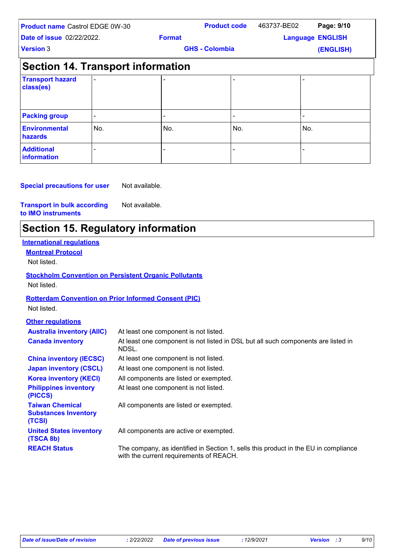| <b>Product name Castrol EDGE 0W-30</b><br><b>Date of issue 02/22/2022.</b> |     |               | <b>Product code</b>   | 463737-BE02 | Page: 9/10              |
|----------------------------------------------------------------------------|-----|---------------|-----------------------|-------------|-------------------------|
|                                                                            |     | <b>Format</b> |                       |             | <b>Language ENGLISH</b> |
| <b>Version 3</b>                                                           |     |               | <b>GHS - Colombia</b> |             | (ENGLISH)               |
| <b>Section 14. Transport information</b>                                   |     |               |                       |             |                         |
| <b>Transport hazard</b><br>class(es)                                       |     |               |                       |             |                         |
| <b>Packing group</b>                                                       |     |               |                       |             |                         |
| <b>Environmental</b><br>hazards                                            | No. | No.           | No.                   |             | No.                     |
| <b>Additional</b><br>information                                           |     |               |                       |             |                         |

#### **Special precautions for user** Not available.

#### **Transport in bulk according to IMO instruments** Not available.

## **Section 15. Regulatory information**

| <b>International regulations</b>                                |                                                                                                                                |
|-----------------------------------------------------------------|--------------------------------------------------------------------------------------------------------------------------------|
| <b>Montreal Protocol</b>                                        |                                                                                                                                |
| Not listed.                                                     |                                                                                                                                |
|                                                                 | <b>Stockholm Convention on Persistent Organic Pollutants</b>                                                                   |
| Not listed.                                                     |                                                                                                                                |
|                                                                 |                                                                                                                                |
|                                                                 | <b>Rotterdam Convention on Prior Informed Consent (PIC)</b>                                                                    |
| Not listed.                                                     |                                                                                                                                |
| <b>Other regulations</b>                                        |                                                                                                                                |
| <b>Australia inventory (AIIC)</b>                               | At least one component is not listed.                                                                                          |
| <b>Canada inventory</b>                                         | At least one component is not listed in DSL but all such components are listed in<br>NDSL.                                     |
| <b>China inventory (IECSC)</b>                                  | At least one component is not listed.                                                                                          |
| <b>Japan inventory (CSCL)</b>                                   | At least one component is not listed.                                                                                          |
| <b>Korea inventory (KECI)</b>                                   | All components are listed or exempted.                                                                                         |
| <b>Philippines inventory</b><br>(PICCS)                         | At least one component is not listed.                                                                                          |
| <b>Taiwan Chemical</b><br><b>Substances Inventory</b><br>(TCSI) | All components are listed or exempted.                                                                                         |
| <b>United States inventory</b><br>(TSCA 8b)                     | All components are active or exempted.                                                                                         |
| <b>REACH Status</b>                                             | The company, as identified in Section 1, sells this product in the EU in compliance<br>with the current requirements of REACH. |